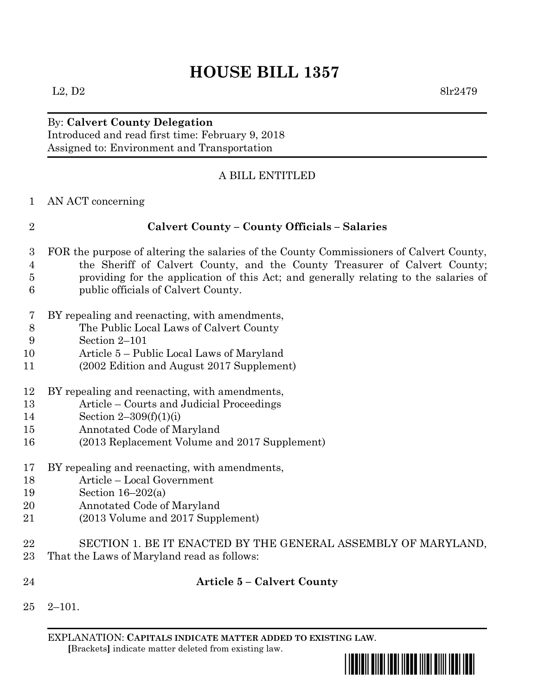# **HOUSE BILL 1357**

# By: **Calvert County Delegation** Introduced and read first time: February 9, 2018 Assigned to: Environment and Transportation

## A BILL ENTITLED

AN ACT concerning

| $\overline{2}$ | <b>Calvert County - County Officials - Salaries</b>                                     |  |  |  |  |
|----------------|-----------------------------------------------------------------------------------------|--|--|--|--|
| 3              | FOR the purpose of altering the salaries of the County Commissioners of Calvert County, |  |  |  |  |
| $\overline{4}$ | the Sheriff of Calvert County, and the County Treasurer of Calvert County;              |  |  |  |  |
| $\overline{5}$ | providing for the application of this Act; and generally relating to the salaries of    |  |  |  |  |
| 6              | public officials of Calvert County.                                                     |  |  |  |  |
| 7              | BY repealing and reenacting, with amendments,                                           |  |  |  |  |
| 8              | The Public Local Laws of Calvert County                                                 |  |  |  |  |
| 9              | Section 2-101                                                                           |  |  |  |  |
| 10             | Article 5 – Public Local Laws of Maryland                                               |  |  |  |  |
| 11             | (2002 Edition and August 2017 Supplement)                                               |  |  |  |  |
| 12             | BY repealing and reenacting, with amendments,                                           |  |  |  |  |
| 13             | Article – Courts and Judicial Proceedings                                               |  |  |  |  |
| 14             | Section $2-309(f)(1)(i)$                                                                |  |  |  |  |
| 15             | Annotated Code of Maryland                                                              |  |  |  |  |
| 16             | (2013 Replacement Volume and 2017 Supplement)                                           |  |  |  |  |
| 17             | BY repealing and reenacting, with amendments,                                           |  |  |  |  |
| 18             | Article - Local Government                                                              |  |  |  |  |
| 19             | Section $16-202(a)$                                                                     |  |  |  |  |
| 20             | Annotated Code of Maryland                                                              |  |  |  |  |
| 21             | (2013 Volume and 2017 Supplement)                                                       |  |  |  |  |
| 22             | SECTION 1. BE IT ENACTED BY THE GENERAL ASSEMBLY OF MARYLAND,                           |  |  |  |  |
| 23             | That the Laws of Maryland read as follows:                                              |  |  |  |  |
| 24             | <b>Article 5 - Calvert County</b>                                                       |  |  |  |  |
| 25             | $2 - 101.$                                                                              |  |  |  |  |
|                |                                                                                         |  |  |  |  |

EXPLANATION: **CAPITALS INDICATE MATTER ADDED TO EXISTING LAW**.  **[**Brackets**]** indicate matter deleted from existing law.

\*hb1357\*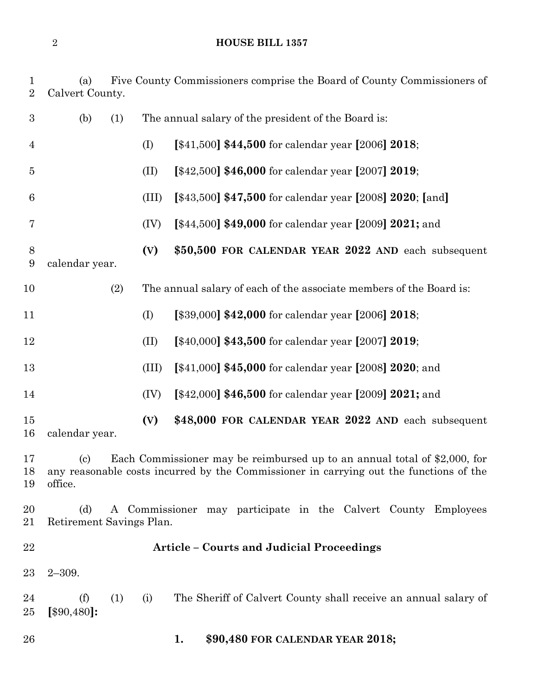## **HOUSE BILL 1357**

| $\mathbf 1$<br>$\overline{2}$ | (a)<br>Calvert County.                                                                                                                                                                                       |     |       | Five County Commissioners comprise the Board of County Commissioners of |  |
|-------------------------------|--------------------------------------------------------------------------------------------------------------------------------------------------------------------------------------------------------------|-----|-------|-------------------------------------------------------------------------|--|
| $\boldsymbol{3}$              | (b)                                                                                                                                                                                                          | (1) |       | The annual salary of the president of the Board is:                     |  |
| 4                             |                                                                                                                                                                                                              |     | (I)   | [ $$41,500$ ] \$44,500 for calendar year [2006] 2018;                   |  |
| $\overline{5}$                |                                                                                                                                                                                                              |     | (II)  | [\$42,500] \$46,000 for calendar year [2007] 2019;                      |  |
| $6\phantom{.}6$               |                                                                                                                                                                                                              |     | (III) | [\$43,500] \$47,500 for calendar year [2008] 2020; [and]                |  |
| 7                             |                                                                                                                                                                                                              |     | (IV)  | [\$44,500] \$49,000 for calendar year [2009] 2021; and                  |  |
| 8<br>9                        | calendar year.                                                                                                                                                                                               |     | (V)   | \$50,500 FOR CALENDAR YEAR 2022 AND each subsequent                     |  |
| 10                            |                                                                                                                                                                                                              | (2) |       | The annual salary of each of the associate members of the Board is:     |  |
| 11                            |                                                                                                                                                                                                              |     | (I)   | [\$39,000] \$42,000 for calendar year [2006] 2018;                      |  |
| 12                            |                                                                                                                                                                                                              |     | (II)  | [\$40,000] \$43,500 for calendar year [2007] 2019;                      |  |
| 13                            |                                                                                                                                                                                                              |     | (III) | [\$41,000] \$45,000 for calendar year [2008] 2020; and                  |  |
| 14                            |                                                                                                                                                                                                              |     | (IV)  | [\$42,000] \$46,500 for calendar year [2009] 2021; and                  |  |
| 15<br>16                      | calendar year.                                                                                                                                                                                               |     | (V)   | \$48,000 FOR CALENDAR YEAR 2022 AND each subsequent                     |  |
| 17<br>18<br>19                | Each Commissioner may be reimbursed up to an annual total of \$2,000, for<br>$\left( \mathrm{c}\right)$<br>any reasonable costs incurred by the Commissioner in carrying out the functions of the<br>office. |     |       |                                                                         |  |
| 20<br>21                      | A Commissioner may participate in the Calvert County Employees<br>(d)<br>Retirement Savings Plan.                                                                                                            |     |       |                                                                         |  |
| 22                            | <b>Article - Courts and Judicial Proceedings</b>                                                                                                                                                             |     |       |                                                                         |  |
| $23\,$                        | $2 - 309.$                                                                                                                                                                                                   |     |       |                                                                         |  |
| 24<br>25                      | (f)<br>[\$90,480]:                                                                                                                                                                                           | (1) | (i)   | The Sheriff of Calvert County shall receive an annual salary of         |  |
| 26                            |                                                                                                                                                                                                              |     |       | \$90,480 FOR CALENDAR YEAR 2018;<br>1.                                  |  |